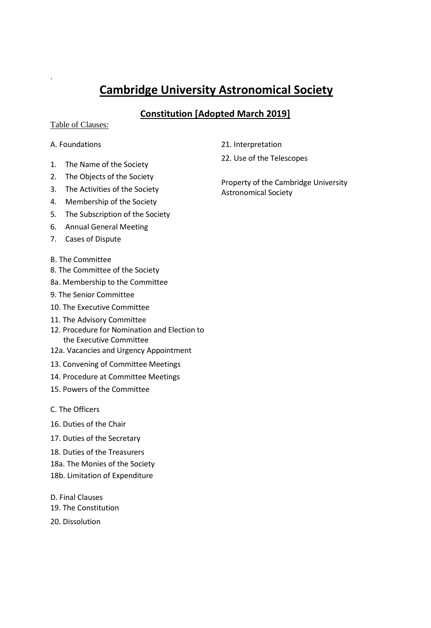# **Cambridge University Astronomical Society**

## **Constitution [Adopted March 2019]**

## Table of Clauses:

## A. Foundations

.

- 1. The Name of the Society
- 2. The Objects of the Society
- 3. The Activities of the Society
- 4. Membership of the Society
- 5. The Subscription of the Society
- 6. Annual General Meeting
- 7. Cases of Dispute
- B. The Committee
- 8. The Committee of the Society
- 8a. Membership to the Committee
- 9. The Senior Committee
- 10. The Executive Committee
- 11. The Advisory Committee
- 12. Procedure for Nomination and Election to the Executive Committee
- 12a. Vacancies and Urgency Appointment
- 13. Convening of Committee Meetings
- 14. Procedure at Committee Meetings
- 15. Powers of the Committee
- C. The Officers
- 16. Duties of the Chair
- 17. Duties of the Secretary
- 18. Duties of the Treasurers
- 18a. The Monies of the Society
- 18b. Limitation of Expenditure
- D. Final Clauses 19. The Constitution
- 20. Dissolution
- 21. Interpretation
- 22. Use of the Telescopes

Property of the Cambridge University Astronomical Society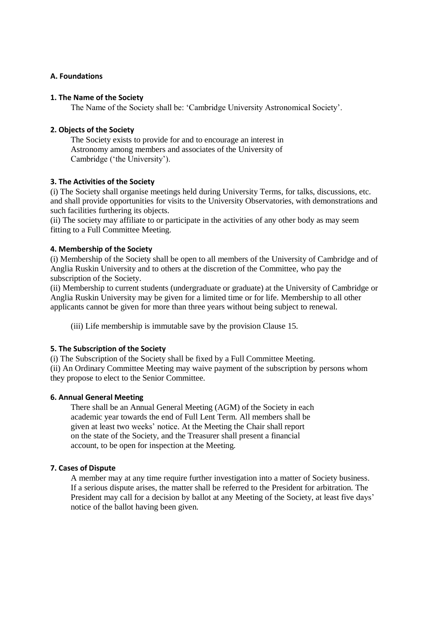## **A. Foundations**

#### **1. The Name of the Society**

The Name of the Society shall be: 'Cambridge University Astronomical Society'.

## **2. Objects of the Society**

The Society exists to provide for and to encourage an interest in Astronomy among members and associates of the University of Cambridge ('the University').

## **3. The Activities of the Society**

(i) The Society shall organise meetings held during University Terms, for talks, discussions, etc. and shall provide opportunities for visits to the University Observatories, with demonstrations and such facilities furthering its objects.

(ii) The society may affiliate to or participate in the activities of any other body as may seem fitting to a Full Committee Meeting.

## **4. Membership of the Society**

(i) Membership of the Society shall be open to all members of the University of Cambridge and of Anglia Ruskin University and to others at the discretion of the Committee, who pay the subscription of the Society.

(ii) Membership to current students (undergraduate or graduate) at the University of Cambridge or Anglia Ruskin University may be given for a limited time or for life. Membership to all other applicants cannot be given for more than three years without being subject to renewal.

(iii) Life membership is immutable save by the provision Clause 15.

## **5. The Subscription of the Society**

(i) The Subscription of the Society shall be fixed by a Full Committee Meeting. (ii) An Ordinary Committee Meeting may waive payment of the subscription by persons whom they propose to elect to the Senior Committee.

#### **6. Annual General Meeting**

There shall be an Annual General Meeting (AGM) of the Society in each academic year towards the end of Full Lent Term. All members shall be given at least two weeks' notice. At the Meeting the Chair shall report on the state of the Society, and the Treasurer shall present a financial account, to be open for inspection at the Meeting.

#### **7. Cases of Dispute**

A member may at any time require further investigation into a matter of Society business. If a serious dispute arises, the matter shall be referred to the President for arbitration. The President may call for a decision by ballot at any Meeting of the Society, at least five days' notice of the ballot having been given.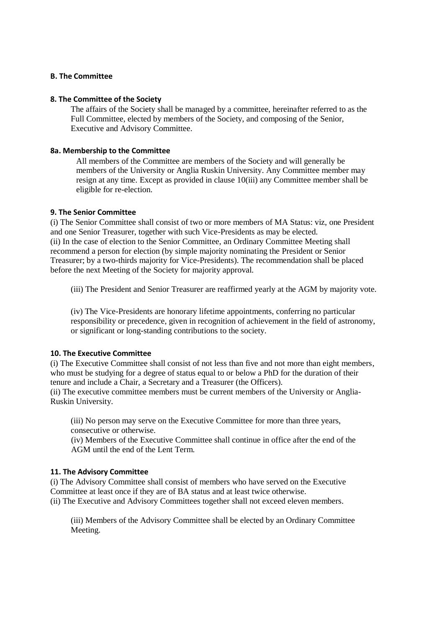### **B. The Committee**

#### **8. The Committee of the Society**

The affairs of the Society shall be managed by a committee, hereinafter referred to as the Full Committee, elected by members of the Society, and composing of the Senior, Executive and Advisory Committee.

### **8a. Membership to the Committee**

All members of the Committee are members of the Society and will generally be members of the University or Anglia Ruskin University. Any Committee member may resign at any time. Except as provided in clause 10(iii) any Committee member shall be eligible for re-election.

## **9. The Senior Committee**

(i) The Senior Committee shall consist of two or more members of MA Status: viz, one President and one Senior Treasurer, together with such Vice-Presidents as may be elected. (ii) In the case of election to the Senior Committee, an Ordinary Committee Meeting shall recommend a person for election (by simple majority nominating the President or Senior Treasurer; by a two-thirds majority for Vice-Presidents). The recommendation shall be placed before the next Meeting of the Society for majority approval.

(iii) The President and Senior Treasurer are reaffirmed yearly at the AGM by majority vote.

(iv) The Vice-Presidents are honorary lifetime appointments, conferring no particular responsibility or precedence, given in recognition of achievement in the field of astronomy, or significant or long-standing contributions to the society.

#### **10. The Executive Committee**

(i) The Executive Committee shall consist of not less than five and not more than eight members, who must be studying for a degree of status equal to or below a PhD for the duration of their tenure and include a Chair, a Secretary and a Treasurer (the Officers).

(ii) The executive committee members must be current members of the University or Anglia-Ruskin University.

(iii) No person may serve on the Executive Committee for more than three years, consecutive or otherwise.

(iv) Members of the Executive Committee shall continue in office after the end of the AGM until the end of the Lent Term.

#### **11. The Advisory Committee**

(i) The Advisory Committee shall consist of members who have served on the Executive Committee at least once if they are of BA status and at least twice otherwise. (ii) The Executive and Advisory Committees together shall not exceed eleven members.

(iii) Members of the Advisory Committee shall be elected by an Ordinary Committee Meeting.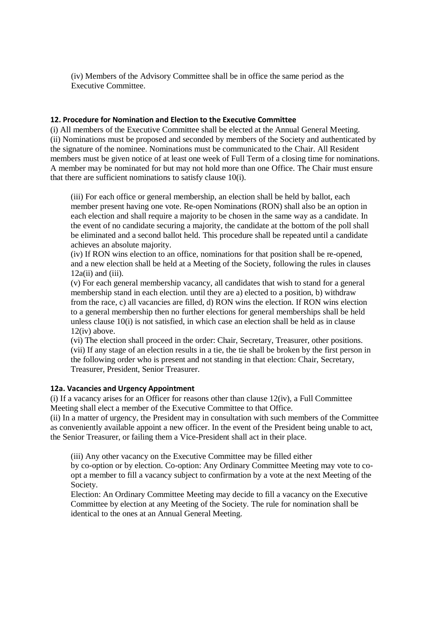(iv) Members of the Advisory Committee shall be in office the same period as the Executive Committee.

#### **12. Procedure for Nomination and Election to the Executive Committee**

(i) All members of the Executive Committee shall be elected at the Annual General Meeting. (ii) Nominations must be proposed and seconded by members of the Society and authenticated by the signature of the nominee. Nominations must be communicated to the Chair. All Resident members must be given notice of at least one week of Full Term of a closing time for nominations. A member may be nominated for but may not hold more than one Office. The Chair must ensure that there are sufficient nominations to satisfy clause 10(i).

(iii) For each office or general membership, an election shall be held by ballot, each member present having one vote. Re-open Nominations (RON) shall also be an option in each election and shall require a majority to be chosen in the same way as a candidate. In the event of no candidate securing a majority, the candidate at the bottom of the poll shall be eliminated and a second ballot held. This procedure shall be repeated until a candidate achieves an absolute majority.

(iv) If RON wins election to an office, nominations for that position shall be re-opened, and a new election shall be held at a Meeting of the Society, following the rules in clauses  $12a(ii)$  and  $(iii)$ .

(v) For each general membership vacancy, all candidates that wish to stand for a general membership stand in each election. until they are a) elected to a position, b) withdraw from the race, c) all vacancies are filled, d) RON wins the election. If RON wins election to a general membership then no further elections for general memberships shall be held unless clause 10(i) is not satisfied, in which case an election shall be held as in clause 12(iv) above.

(vi) The election shall proceed in the order: Chair, Secretary, Treasurer, other positions. (vii) If any stage of an election results in a tie, the tie shall be broken by the first person in the following order who is present and not standing in that election: Chair, Secretary, Treasurer, President, Senior Treasurer.

#### **12a. Vacancies and Urgency Appointment**

(i) If a vacancy arises for an Officer for reasons other than clause  $12(iv)$ , a Full Committee Meeting shall elect a member of the Executive Committee to that Office.

(ii) In a matter of urgency, the President may in consultation with such members of the Committee as conveniently available appoint a new officer. In the event of the President being unable to act, the Senior Treasurer, or failing them a Vice-President shall act in their place.

(iii) Any other vacancy on the Executive Committee may be filled either

by co-option or by election. Co-option: Any Ordinary Committee Meeting may vote to coopt a member to fill a vacancy subject to confirmation by a vote at the next Meeting of the Society.

Election: An Ordinary Committee Meeting may decide to fill a vacancy on the Executive Committee by election at any Meeting of the Society. The rule for nomination shall be identical to the ones at an Annual General Meeting.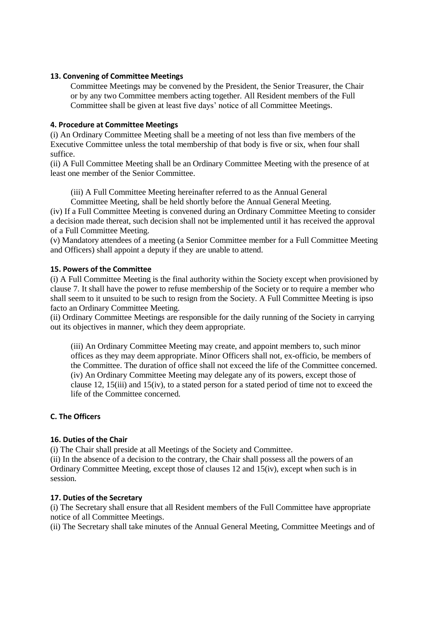## **13. Convening of Committee Meetings**

Committee Meetings may be convened by the President, the Senior Treasurer, the Chair or by any two Committee members acting together. All Resident members of the Full Committee shall be given at least five days' notice of all Committee Meetings.

### **4. Procedure at Committee Meetings**

(i) An Ordinary Committee Meeting shall be a meeting of not less than five members of the Executive Committee unless the total membership of that body is five or six, when four shall suffice.

(ii) A Full Committee Meeting shall be an Ordinary Committee Meeting with the presence of at least one member of the Senior Committee.

(iii) A Full Committee Meeting hereinafter referred to as the Annual General

Committee Meeting, shall be held shortly before the Annual General Meeting.

(iv) If a Full Committee Meeting is convened during an Ordinary Committee Meeting to consider a decision made thereat, such decision shall not be implemented until it has received the approval of a Full Committee Meeting.

(v) Mandatory attendees of a meeting (a Senior Committee member for a Full Committee Meeting and Officers) shall appoint a deputy if they are unable to attend.

## **15. Powers of the Committee**

(i) A Full Committee Meeting is the final authority within the Society except when provisioned by clause 7. It shall have the power to refuse membership of the Society or to require a member who shall seem to it unsuited to be such to resign from the Society. A Full Committee Meeting is ipso facto an Ordinary Committee Meeting.

(ii) Ordinary Committee Meetings are responsible for the daily running of the Society in carrying out its objectives in manner, which they deem appropriate.

(iii) An Ordinary Committee Meeting may create, and appoint members to, such minor offices as they may deem appropriate. Minor Officers shall not, ex-officio, be members of the Committee. The duration of office shall not exceed the life of the Committee concerned. (iv) An Ordinary Committee Meeting may delegate any of its powers, except those of clause 12, 15(iii) and 15(iv), to a stated person for a stated period of time not to exceed the life of the Committee concerned.

## **C. The Officers**

## **16. Duties of the Chair**

(i) The Chair shall preside at all Meetings of the Society and Committee.

(ii) In the absence of a decision to the contrary, the Chair shall possess all the powers of an Ordinary Committee Meeting, except those of clauses 12 and 15(iv), except when such is in session.

#### **17. Duties of the Secretary**

(i) The Secretary shall ensure that all Resident members of the Full Committee have appropriate notice of all Committee Meetings.

(ii) The Secretary shall take minutes of the Annual General Meeting, Committee Meetings and of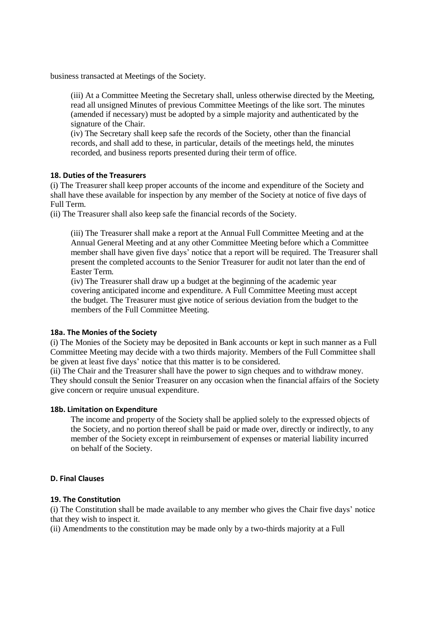business transacted at Meetings of the Society.

(iii) At a Committee Meeting the Secretary shall, unless otherwise directed by the Meeting, read all unsigned Minutes of previous Committee Meetings of the like sort. The minutes (amended if necessary) must be adopted by a simple majority and authenticated by the signature of the Chair.

(iv) The Secretary shall keep safe the records of the Society, other than the financial records, and shall add to these, in particular, details of the meetings held, the minutes recorded, and business reports presented during their term of office.

#### **18. Duties of the Treasurers**

(i) The Treasurer shall keep proper accounts of the income and expenditure of the Society and shall have these available for inspection by any member of the Society at notice of five days of Full Term.

(ii) The Treasurer shall also keep safe the financial records of the Society.

(iii) The Treasurer shall make a report at the Annual Full Committee Meeting and at the Annual General Meeting and at any other Committee Meeting before which a Committee member shall have given five days' notice that a report will be required. The Treasurer shall present the completed accounts to the Senior Treasurer for audit not later than the end of Easter Term.

(iv) The Treasurer shall draw up a budget at the beginning of the academic year covering anticipated income and expenditure. A Full Committee Meeting must accept the budget. The Treasurer must give notice of serious deviation from the budget to the members of the Full Committee Meeting.

#### **18a. The Monies of the Society**

(i) The Monies of the Society may be deposited in Bank accounts or kept in such manner as a Full Committee Meeting may decide with a two thirds majority. Members of the Full Committee shall be given at least five days' notice that this matter is to be considered.

(ii) The Chair and the Treasurer shall have the power to sign cheques and to withdraw money. They should consult the Senior Treasurer on any occasion when the financial affairs of the Society give concern or require unusual expenditure.

#### **18b. Limitation on Expenditure**

The income and property of the Society shall be applied solely to the expressed objects of the Society, and no portion thereof shall be paid or made over, directly or indirectly, to any member of the Society except in reimbursement of expenses or material liability incurred on behalf of the Society.

## **D. Final Clauses**

#### **19. The Constitution**

(i) The Constitution shall be made available to any member who gives the Chair five days' notice that they wish to inspect it.

(ii) Amendments to the constitution may be made only by a two-thirds majority at a Full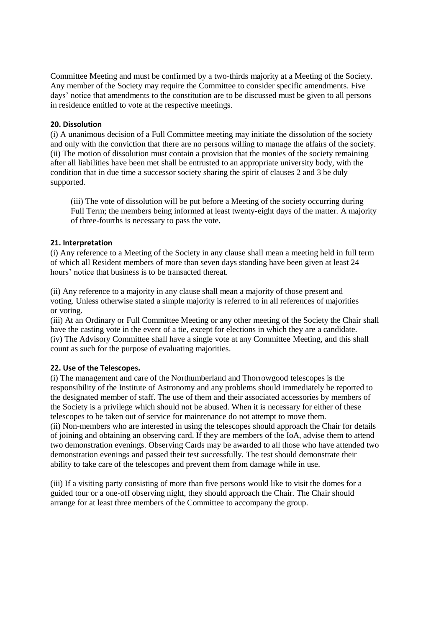Committee Meeting and must be confirmed by a two-thirds majority at a Meeting of the Society. Any member of the Society may require the Committee to consider specific amendments. Five days' notice that amendments to the constitution are to be discussed must be given to all persons in residence entitled to vote at the respective meetings.

## **20. Dissolution**

(i) A unanimous decision of a Full Committee meeting may initiate the dissolution of the society and only with the conviction that there are no persons willing to manage the affairs of the society. (ii) The motion of dissolution must contain a provision that the monies of the society remaining after all liabilities have been met shall be entrusted to an appropriate university body, with the condition that in due time a successor society sharing the spirit of clauses 2 and 3 be duly supported.

(iii) The vote of dissolution will be put before a Meeting of the society occurring during Full Term; the members being informed at least twenty-eight days of the matter. A majority of three-fourths is necessary to pass the vote.

## **21. Interpretation**

(i) Any reference to a Meeting of the Society in any clause shall mean a meeting held in full term of which all Resident members of more than seven days standing have been given at least 24 hours' notice that business is to be transacted thereat.

(ii) Any reference to a majority in any clause shall mean a majority of those present and voting. Unless otherwise stated a simple majority is referred to in all references of majorities or voting.

(iii) At an Ordinary or Full Committee Meeting or any other meeting of the Society the Chair shall have the casting vote in the event of a tie, except for elections in which they are a candidate. (iv) The Advisory Committee shall have a single vote at any Committee Meeting, and this shall count as such for the purpose of evaluating majorities.

## **22. Use of the Telescopes.**

(i) The management and care of the Northumberland and Thorrowgood telescopes is the responsibility of the Institute of Astronomy and any problems should immediately be reported to the designated member of staff. The use of them and their associated accessories by members of the Society is a privilege which should not be abused. When it is necessary for either of these telescopes to be taken out of service for maintenance do not attempt to move them. (ii) Non-members who are interested in using the telescopes should approach the Chair for details of joining and obtaining an observing card. If they are members of the IoA, advise them to attend two demonstration evenings. Observing Cards may be awarded to all those who have attended two demonstration evenings and passed their test successfully. The test should demonstrate their ability to take care of the telescopes and prevent them from damage while in use.

(iii) If a visiting party consisting of more than five persons would like to visit the domes for a guided tour or a one-off observing night, they should approach the Chair. The Chair should arrange for at least three members of the Committee to accompany the group.